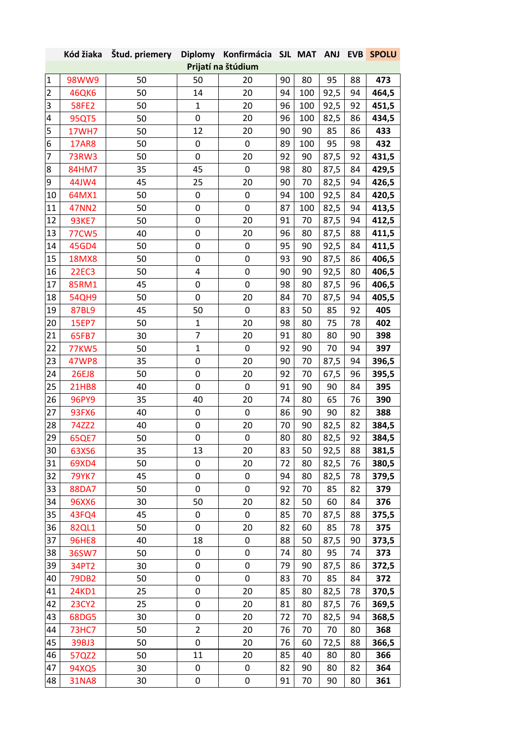|                           | Kód žiaka          | Štud. priemery Diplomy Konfirmácia SJL MAT ANJ |                |           |    |     |      |    | <b>EVB SPOLU</b> |  |
|---------------------------|--------------------|------------------------------------------------|----------------|-----------|----|-----|------|----|------------------|--|
|                           | Prijatí na štúdium |                                                |                |           |    |     |      |    |                  |  |
| $\mathbf{1}$              | 98WW9              | 50                                             | 50             | 20        | 90 | 80  | 95   | 88 | 473              |  |
| $\overline{2}$            | <b>46QK6</b>       | 50                                             | 14             | 20        | 94 | 100 | 92,5 | 94 | 464,5            |  |
| $\ensuremath{\mathsf{3}}$ | <b>58FE2</b>       | 50                                             | $\mathbf{1}$   | 20        | 96 | 100 | 92,5 | 92 | 451,5            |  |
| $\overline{\mathbf{4}}$   | <b>95QT5</b>       | 50                                             | 0              | 20        | 96 | 100 | 82,5 | 86 | 434,5            |  |
| 5                         | 17WH7              | 50                                             | 12             | 20        | 90 | 90  | 85   | 86 | 433              |  |
| 6                         | <b>17AR8</b>       | 50                                             | 0              | 0         | 89 | 100 | 95   | 98 | 432              |  |
| $\overline{7}$            | <b>73RW3</b>       | 50                                             | 0              | 20        | 92 | 90  | 87,5 | 92 | 431,5            |  |
| 8                         | 84HM7              | 35                                             | 45             | 0         | 98 | 80  | 87,5 | 84 | 429,5            |  |
| 9                         | 44JW4              | 45                                             | 25             | 20        | 90 | 70  | 82,5 | 94 | 426,5            |  |
| 10                        | 64MX1              | 50                                             | 0              | 0         | 94 | 100 | 92,5 | 84 | 420,5            |  |
| 11                        | <b>47NN2</b>       | 50                                             | 0              | 0         | 87 | 100 | 82,5 | 94 | 413,5            |  |
| 12                        | <b>93KE7</b>       | 50                                             | 0              | 20        | 91 | 70  | 87,5 | 94 | 412,5            |  |
| 13                        | <b>77CW5</b>       | 40                                             | 0              | 20        | 96 | 80  | 87,5 | 88 | 411,5            |  |
| 14                        | 45GD4              | 50                                             | 0              | 0         | 95 | 90  | 92,5 | 84 | 411,5            |  |
| 15                        | <b>18MX8</b>       | 50                                             | 0              | 0         | 93 | 90  | 87,5 | 86 | 406,5            |  |
| 16                        | <b>22EC3</b>       | 50                                             | 4              | 0         | 90 | 90  | 92,5 | 80 | 406,5            |  |
| 17                        | 85RM1              | 45                                             | 0              | 0         | 98 | 80  | 87,5 | 96 | 406,5            |  |
| 18                        | <b>54QH9</b>       | 50                                             | 0              | 20        | 84 | 70  | 87,5 | 94 | 405,5            |  |
| 19                        | <b>87BL9</b>       | 45                                             | 50             | 0         | 83 | 50  | 85   | 92 | 405              |  |
| 20                        | <b>15EP7</b>       | 50                                             | $\mathbf{1}$   | 20        | 98 | 80  | 75   | 78 | 402              |  |
| 21                        | 65FB7              | 30                                             | 7              | 20        | 91 | 80  | 80   | 90 | 398              |  |
| 22                        | 77KW5              | 50                                             | $\mathbf{1}$   | 0         | 92 | 90  | 70   | 94 | 397              |  |
| 23                        | <b>47WP8</b>       | 35                                             | 0              | 20        | 90 | 70  | 87,5 | 94 | 396,5            |  |
| 24                        | <b>26EJ8</b>       | 50                                             | 0              | 20        | 92 | 70  | 67,5 | 96 | 395,5            |  |
| 25                        | <b>21HB8</b>       | 40                                             | 0              | 0         | 91 | 90  | 90   | 84 | 395              |  |
| 26                        | <b>96PY9</b>       | 35                                             | 40             | 20        | 74 | 80  | 65   | 76 | 390              |  |
| 27                        | <b>93FX6</b>       | 40                                             | 0              | 0         | 86 | 90  | 90   | 82 | 388              |  |
| 28                        | 74ZZ2              | 40                                             | 0              | 20        | 70 | 90  | 82,5 | 82 | 384,5            |  |
| 29                        | 65QE7              | 50                                             | 0              | 0         | 80 | 80  | 82,5 | 92 | 384,5            |  |
| 30                        | 63XS6              | 35                                             | 13             | 20        | 83 | 50  | 92,5 | 88 | 381,5            |  |
| 31                        | 69XD4              | 50                                             | 0              | 20        | 72 | 80  | 82,5 | 76 | 380,5            |  |
| 32                        | <b>79YK7</b>       | 45                                             | 0              | 0         | 94 | 80  | 82,5 | 78 | 379,5            |  |
| 33                        | <b>88DA7</b>       | 50                                             | 0              | 0         | 92 | 70  | 85   | 82 | 379              |  |
| 34                        | <b>96XX6</b>       | 30                                             | 50             | 20        | 82 | 50  | 60   | 84 | 376              |  |
| 35                        | 43FQ4              | 45                                             | 0              | 0         | 85 | 70  | 87,5 | 88 | 375,5            |  |
| 36                        | 82QL1              | 50                                             | 0              | 20        | 82 | 60  | 85   | 78 | 375              |  |
| 37                        | <b>96HE8</b>       | 40                                             | 18             | 0         | 88 | 50  | 87,5 | 90 | 373,5            |  |
| 38                        | 36SW7              | 50                                             | 0              | 0         | 74 | 80  | 95   | 74 | 373              |  |
| 39                        | 34PT2              | 30                                             | 0              | 0         | 79 | 90  | 87,5 | 86 | 372,5            |  |
| 40                        | <b>79DB2</b>       | 50                                             | 0              | $\pmb{0}$ | 83 | 70  | 85   | 84 | 372              |  |
| 41                        | <b>24KD1</b>       | 25                                             | 0              | 20        | 85 | 80  | 82,5 | 78 | 370,5            |  |
| 42                        | <b>23CY2</b>       | 25                                             | 0              | 20        | 81 | 80  | 87,5 | 76 | 369,5            |  |
| 43                        | 68DG5              | 30                                             | 0              | 20        | 72 | 70  | 82,5 | 94 | 368,5            |  |
| 44                        | <b>73HC7</b>       | 50                                             | $\overline{2}$ | 20        | 76 | 70  | 70   | 80 | 368              |  |
| 45                        | 39BJ3              | 50                                             | 0              | 20        | 76 | 60  | 72,5 | 88 | 366,5            |  |
| 46                        | 57QZ2              | 50                                             | 11             | 20        | 85 | 40  | 80   | 80 | 366              |  |
| 47                        | 94XQ5              | 30                                             | 0              | 0         | 82 | 90  | 80   | 82 | 364              |  |
| 48                        | <b>31NA8</b>       | 30                                             | 0              | 0         | 91 | 70  | 90   | 80 | 361              |  |